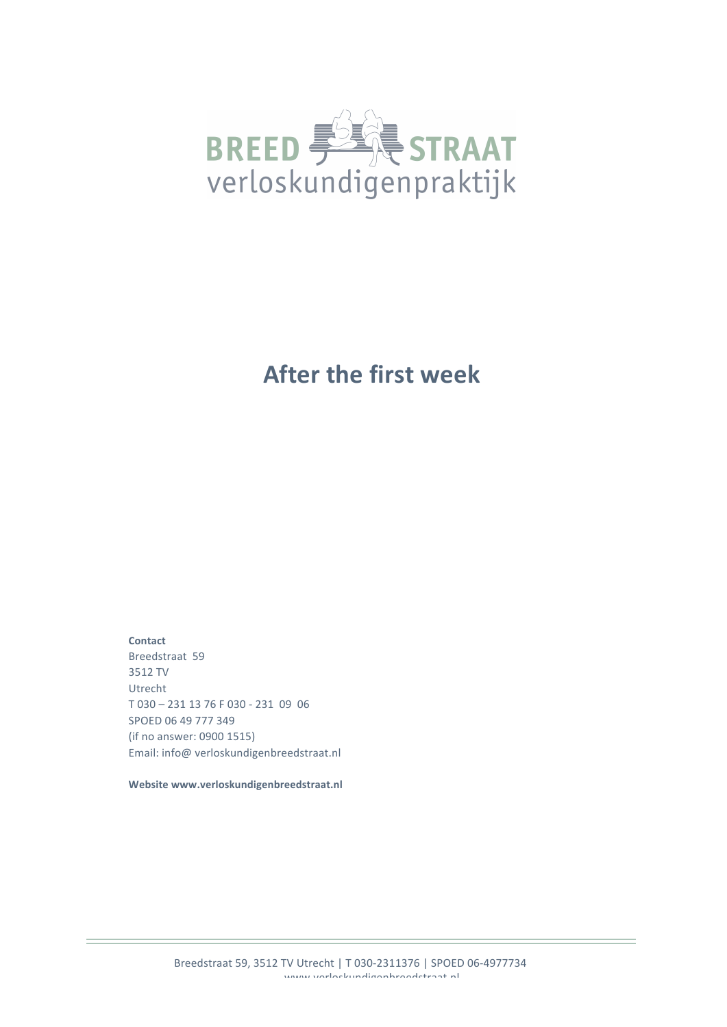

# **After the first week**

**Contact** Breedstraat 59 3512 TV Utrecht T 030 - 231 13 76 F 030 - 231 09 06 SPOED 06 49 777 349 (if no answer: 0900 1515) Email: info@ verloskundigenbreedstraat.nl

Website www.verloskundigenbreedstraat.nl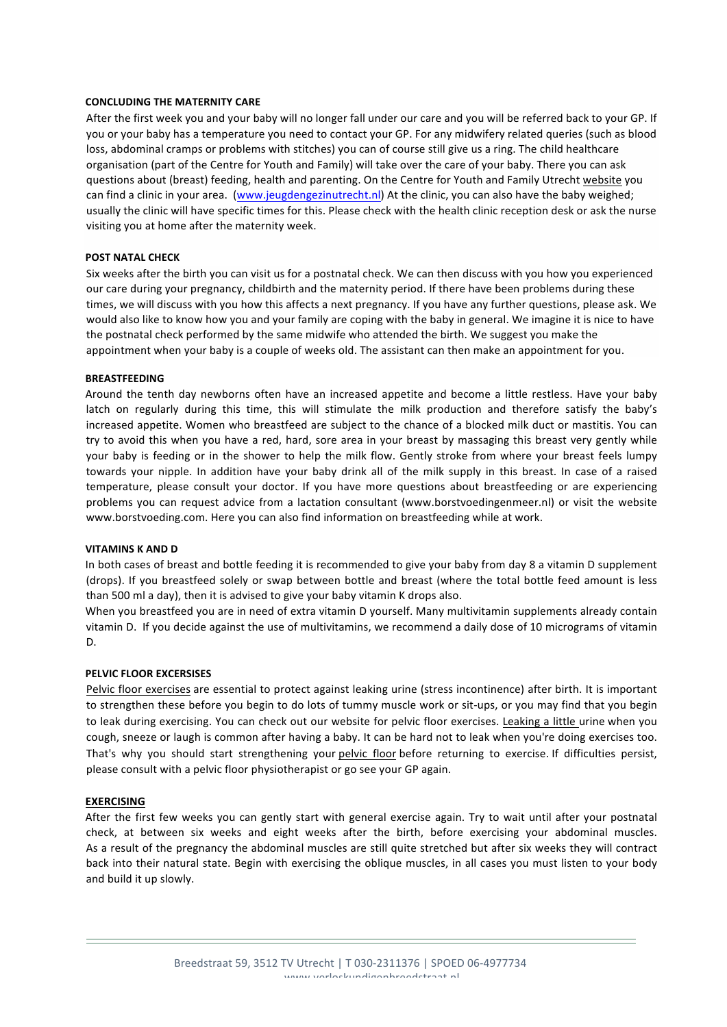## **CONCLUDING THE MATERNITY CARE**

After the first week you and your baby will no longer fall under our care and you will be referred back to your GP. If you or your baby has a temperature you need to contact your GP. For any midwifery related queries (such as blood loss, abdominal cramps or problems with stitches) you can of course still give us a ring. The child healthcare organisation (part of the Centre for Youth and Family) will take over the care of your baby. There you can ask questions about (breast) feeding, health and parenting. On the Centre for Youth and Family Utrecht website you can find a clinic in your area. (www.jeugdengezinutrecht.nl) At the clinic, you can also have the baby weighed; usually the clinic will have specific times for this. Please check with the health clinic reception desk or ask the nurse visiting you at home after the maternity week.

#### **POST NATAL CHECK**

Six weeks after the birth you can visit us for a postnatal check. We can then discuss with you how you experienced our care during your pregnancy, childbirth and the maternity period. If there have been problems during these times, we will discuss with you how this affects a next pregnancy. If you have any further questions, please ask. We would also like to know how you and your family are coping with the baby in general. We imagine it is nice to have the postnatal check performed by the same midwife who attended the birth. We suggest you make the appointment when your baby is a couple of weeks old. The assistant can then make an appointment for you.

#### **BREASTFEEDING**

Around the tenth day newborns often have an increased appetite and become a little restless. Have your baby latch on regularly during this time, this will stimulate the milk production and therefore satisfy the baby's increased appetite. Women who breastfeed are subject to the chance of a blocked milk duct or mastitis. You can try to avoid this when you have a red, hard, sore area in your breast by massaging this breast very gently while your baby is feeding or in the shower to help the milk flow. Gently stroke from where your breast feels lumpy towards your nipple. In addition have your baby drink all of the milk supply in this breast. In case of a raised temperature, please consult your doctor. If you have more questions about breastfeeding or are experiencing problems you can request advice from a lactation consultant (www.borstvoedingenmeer.nl) or visit the website www.borstvoeding.com. Here you can also find information on breastfeeding while at work.

#### **VITAMINS K AND D**

In both cases of breast and bottle feeding it is recommended to give your baby from day 8 a vitamin D supplement (drops). If you breastfeed solely or swap between bottle and breast (where the total bottle feed amount is less than 500 ml a day), then it is advised to give your baby vitamin K drops also.

When you breastfeed you are in need of extra vitamin D yourself. Many multivitamin supplements already contain vitamin D. If you decide against the use of multivitamins, we recommend a daily dose of 10 micrograms of vitamin D.

#### **PELVIC FLOOR EXCERSISES**

Pelvic floor exercises are essential to protect against leaking urine (stress incontinence) after birth. It is important to strengthen these before you begin to do lots of tummy muscle work or sit-ups, or you may find that you begin to leak during exercising. You can check out our website for pelvic floor exercises. Leaking a little urine when you cough, sneeze or laugh is common after having a baby. It can be hard not to leak when you're doing exercises too. That's why you should start strengthening your pelvic floor before returning to exercise. If difficulties persist, please consult with a pelvic floor physiotherapist or go see your GP again.

#### **EXERCISING**

After the first few weeks you can gently start with general exercise again. Try to wait until after your postnatal check, at between six weeks and eight weeks after the birth, before exercising your abdominal muscles. As a result of the pregnancy the abdominal muscles are still quite stretched but after six weeks they will contract back into their natural state. Begin with exercising the oblique muscles, in all cases you must listen to your body and build it up slowly.